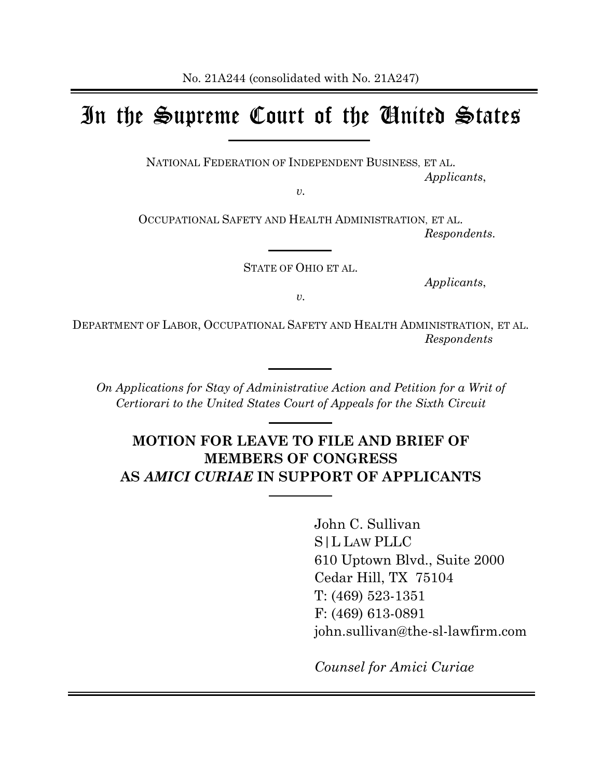# In the Supreme Court of the United States

NATIONAL FEDERATION OF INDEPENDENT BUSINESS, ET AL. *Applicants*,

*v.*

OCCUPATIONAL SAFETY AND HEALTH ADMINISTRATION, ET AL. *Respondents.*

STATE OF OHIO ET AL.

*Applicants*,

*v.*

DEPARTMENT OF LABOR, OCCUPATIONAL SAFETY AND HEALTH ADMINISTRATION, ET AL. *Respondents*

*On Applications for Stay of Administrative Action and Petition for a Writ of Certiorari to the United States Court of Appeals for the Sixth Circuit*

## **MOTION FOR LEAVE TO FILE AND BRIEF OF MEMBERS OF CONGRESS AS** *AMICI CURIAE* **IN SUPPORT OF APPLICANTS**

John C. Sullivan S|L LAW PLLC 610 Uptown Blvd., Suite 2000 Cedar Hill, TX 75104 T: (469) 523-1351 F: (469) 613-0891 john.sullivan@the-sl-lawfirm.com

*Counsel for Amici Curiae*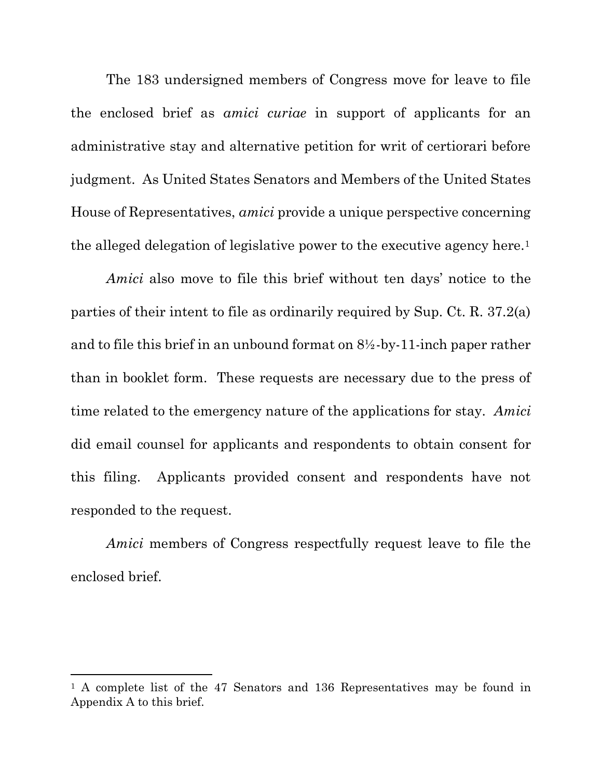The 183 undersigned members of Congress move for leave to file the enclosed brief as *amici curiae* in support of applicants for an administrative stay and alternative petition for writ of certiorari before judgment. As United States Senators and Members of the United States House of Representatives, *amici* provide a unique perspective concerning the alleged delegation of legislative power to the executive agency here.<sup>1</sup>

*Amici* also move to file this brief without ten days' notice to the parties of their intent to file as ordinarily required by Sup. Ct. R. 37.2(a) and to file this brief in an unbound format on 8½-by-11-inch paper rather than in booklet form. These requests are necessary due to the press of time related to the emergency nature of the applications for stay. *Amici* did email counsel for applicants and respondents to obtain consent for this filing. Applicants provided consent and respondents have not responded to the request.

*Amici* members of Congress respectfully request leave to file the enclosed brief.

<sup>&</sup>lt;sup>1</sup> A complete list of the 47 Senators and 136 Representatives may be found in Appendix A to this brief.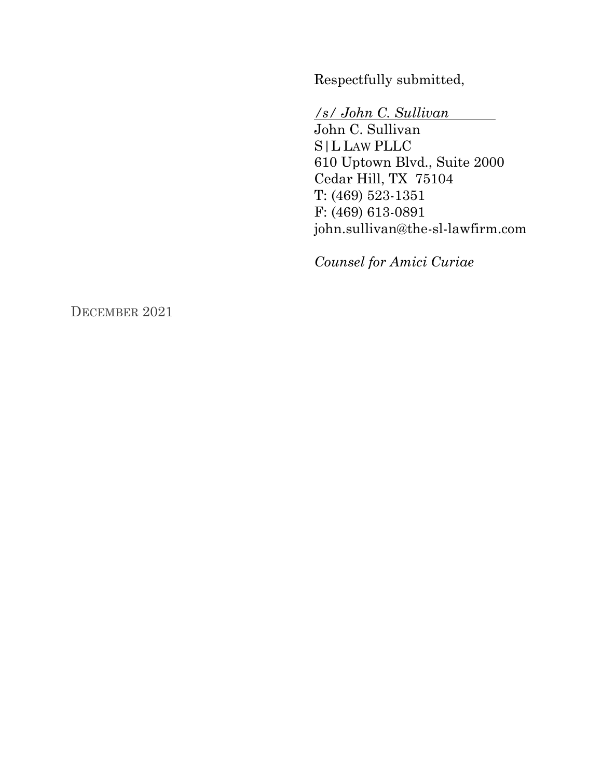Respectfully submitted,

*/s/ John C. Sullivan*

John C. Sullivan S|L LAW PLLC 610 Uptown Blvd., Suite 2000 Cedar Hill, TX 75104 T: (469) 523-1351 F: (469) 613-0891 john.sullivan@the-sl-lawfirm.com

*Counsel for Amici Curiae*

DECEMBER 2021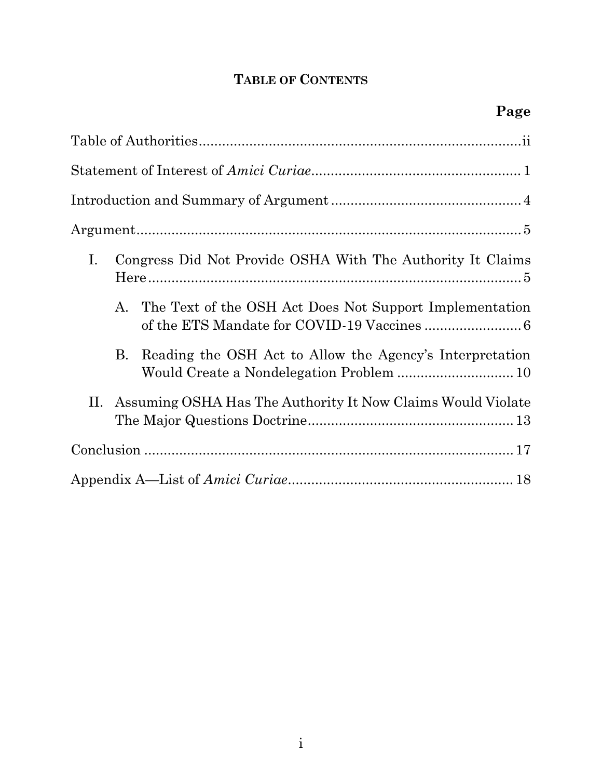## **TABLE OF CONTENTS**

| Ι. |    | Congress Did Not Provide OSHA With The Authority It Claims                                           |
|----|----|------------------------------------------------------------------------------------------------------|
|    | А. | The Text of the OSH Act Does Not Support Implementation                                              |
|    | B. | Reading the OSH Act to Allow the Agency's Interpretation<br>Would Create a Nondelegation Problem  10 |
| П. |    | Assuming OSHA Has The Authority It Now Claims Would Violate                                          |
|    |    |                                                                                                      |
|    |    |                                                                                                      |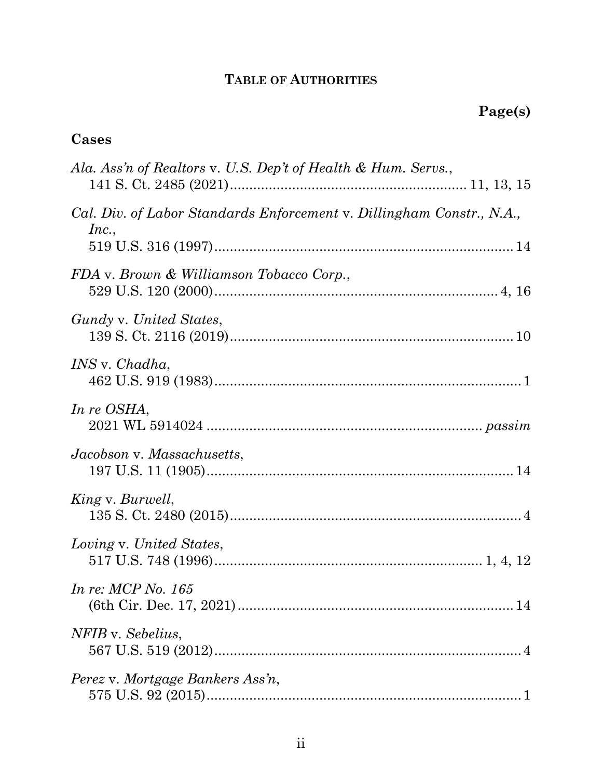## **TABLE OF AUTHORITIES**

## <span id="page-4-0"></span>**Cases**

| Ala. Ass'n of Realtors v. U.S. Dep't of Health & Hum. Servs.,                  |
|--------------------------------------------------------------------------------|
| Cal. Div. of Labor Standards Enforcement v. Dillingham Constr., N.A.,<br>Inc., |
| FDA v. Brown & Williamson Tobacco Corp.,                                       |
| Gundy v. United States,                                                        |
| <i>INS</i> v. <i>Chadha</i> ,                                                  |
| In re OSHA,                                                                    |
| Jacobson v. Massachusetts,                                                     |
| King v. Burwell,                                                               |
| Loving v. United States,                                                       |
| <i>In re: MCP No. 165</i>                                                      |
| NFIB v. Sebelius,                                                              |
| Perez v. Mortgage Bankers Ass'n,                                               |
|                                                                                |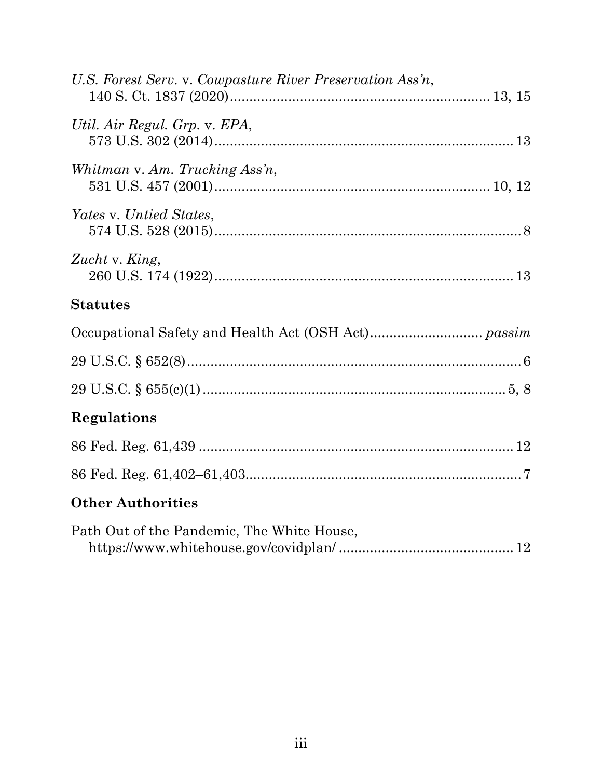| U.S. Forest Serv. v. Cowpasture River Preservation Ass'n, |
|-----------------------------------------------------------|
| Util. Air Regul. Grp. v. EPA,                             |
| Whitman v. Am. Trucking Ass'n,                            |
| Yates v. Untied States,                                   |
| Zucht v. King,                                            |
| <b>Statutes</b>                                           |
|                                                           |
|                                                           |
|                                                           |
|                                                           |
| Regulations                                               |
|                                                           |
|                                                           |
| <b>Other Authorities</b>                                  |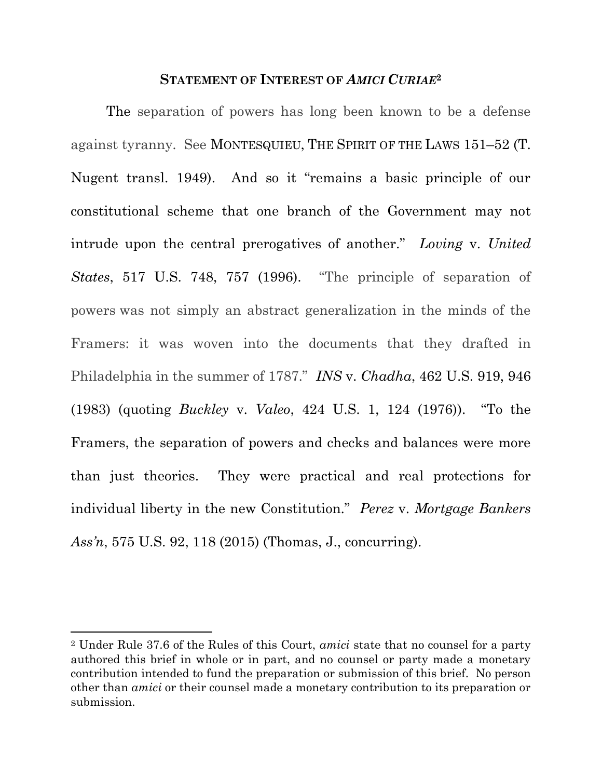#### <span id="page-6-2"></span><span id="page-6-1"></span>**STATEMENT OF INTEREST OF** *AMICI CURIAE***<sup>2</sup>**

<span id="page-6-0"></span>The separation of powers has long been known to be a defense against tyranny. See MONTESQUIEU, THE SPIRIT OF THE LAWS 151–52 (T. Nugent transl. 1949). And so it "remains a basic principle of our constitutional scheme that one branch of the Government may not intrude upon the central prerogatives of another." *Loving* v. *United States*, 517 U.S. 748, 757 (1996). "The principle of separation of powers was not simply an abstract generalization in the minds of the Framers: it was woven into the documents that they drafted in Philadelphia in the summer of 1787." *INS* v. *Chadha*, 462 U.S. 919, 946 (1983) (quoting *Buckley* v. *Valeo*, 424 U.S. 1, 124 (1976)). "To the Framers, the separation of powers and checks and balances were more than just theories. They were practical and real protections for individual liberty in the new Constitution." *Perez* v. *Mortgage Bankers Ass'n*, 575 U.S. 92, 118 (2015) (Thomas, J., concurring).

<span id="page-6-3"></span><sup>2</sup> Under Rule 37.6 of the Rules of this Court, *amici* state that no counsel for a party authored this brief in whole or in part, and no counsel or party made a monetary contribution intended to fund the preparation or submission of this brief. No person other than *amici* or their counsel made a monetary contribution to its preparation or submission.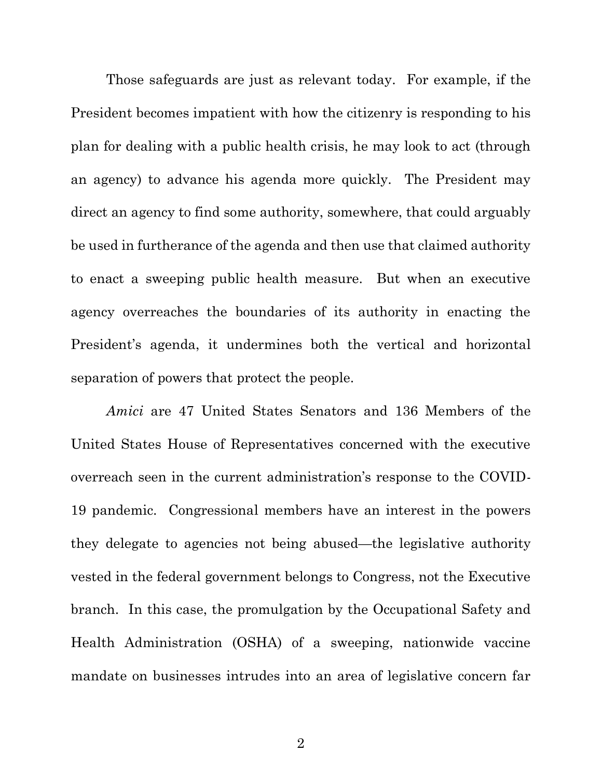Those safeguards are just as relevant today. For example, if the President becomes impatient with how the citizenry is responding to his plan for dealing with a public health crisis, he may look to act (through an agency) to advance his agenda more quickly. The President may direct an agency to find some authority, somewhere, that could arguably be used in furtherance of the agenda and then use that claimed authority to enact a sweeping public health measure. But when an executive agency overreaches the boundaries of its authority in enacting the President's agenda, it undermines both the vertical and horizontal separation of powers that protect the people.

*Amici* are 47 United States Senators and 136 Members of the United States House of Representatives concerned with the executive overreach seen in the current administration's response to the COVID-19 pandemic. Congressional members have an interest in the powers they delegate to agencies not being abused—the legislative authority vested in the federal government belongs to Congress, not the Executive branch. In this case, the promulgation by the Occupational Safety and Health Administration (OSHA) of a sweeping, nationwide vaccine mandate on businesses intrudes into an area of legislative concern far

2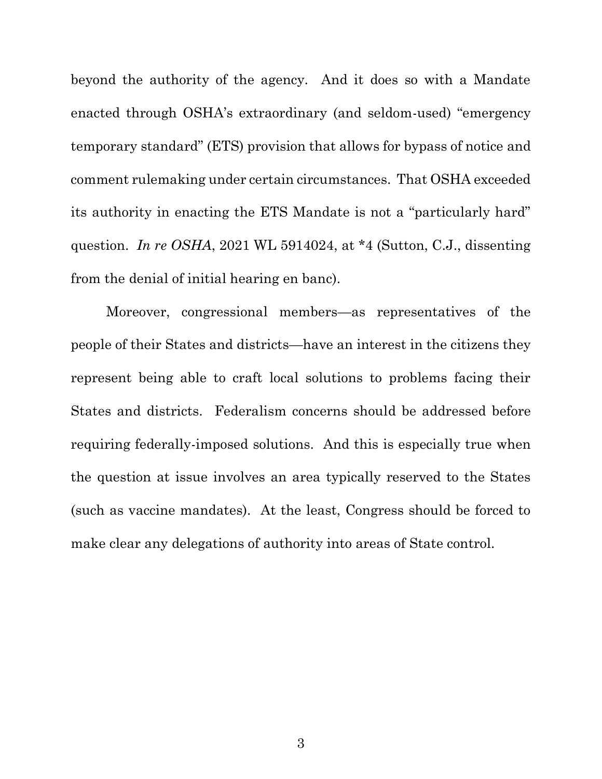beyond the authority of the agency. And it does so with a Mandate enacted through OSHA's extraordinary (and seldom-used) "emergency temporary standard" (ETS) provision that allows for bypass of notice and comment rulemaking under certain circumstances. That OSHA exceeded its authority in enacting the ETS Mandate is not a "particularly hard" question. *In re OSHA*, 2021 WL 5914024, at \*4 (Sutton, C.J., dissenting from the denial of initial hearing en banc).

<span id="page-8-0"></span>Moreover, congressional members—as representatives of the people of their States and districts—have an interest in the citizens they represent being able to craft local solutions to problems facing their States and districts. Federalism concerns should be addressed before requiring federally-imposed solutions. And this is especially true when the question at issue involves an area typically reserved to the States (such as vaccine mandates). At the least, Congress should be forced to make clear any delegations of authority into areas of State control.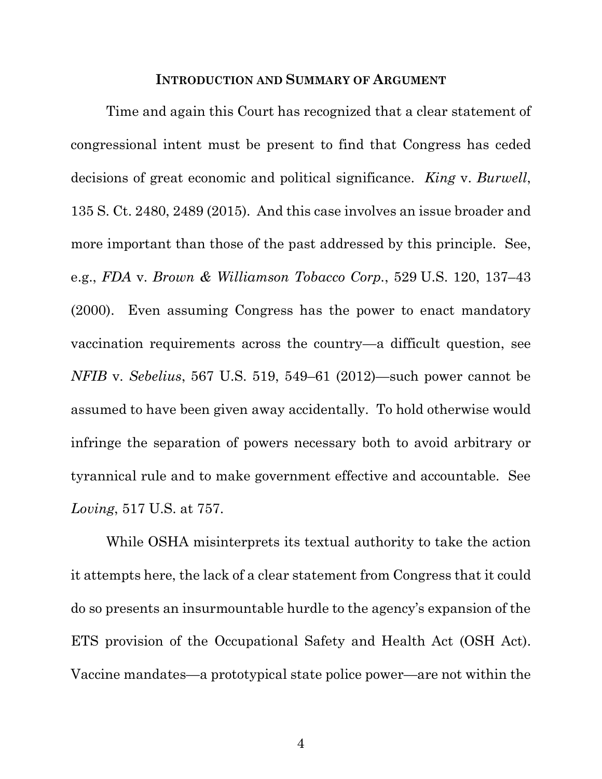#### <span id="page-9-2"></span>**INTRODUCTION AND SUMMARY OF ARGUMENT**

<span id="page-9-1"></span><span id="page-9-0"></span>Time and again this Court has recognized that a clear statement of congressional intent must be present to find that Congress has ceded decisions of great economic and political significance. *King* v. *Burwell*, 135 S. Ct. 2480, 2489 (2015). And this case involves an issue broader and more important than those of the past addressed by this principle. See, e.g., *FDA* v. *Brown & Williamson Tobacco Corp.*, 529 U.S. 120, 137–43 (2000). Even assuming Congress has the power to enact mandatory vaccination requirements across the country—a difficult question, see *NFIB* v. *Sebelius*, 567 U.S. 519, 549–61 (2012)—such power cannot be assumed to have been given away accidentally. To hold otherwise would infringe the separation of powers necessary both to avoid arbitrary or tyrannical rule and to make government effective and accountable. See *Loving*, 517 U.S. at 757.

<span id="page-9-4"></span><span id="page-9-3"></span>While OSHA misinterprets its textual authority to take the action it attempts here, the lack of a clear statement from Congress that it could do so presents an insurmountable hurdle to the agency's expansion of the ETS provision of the Occupational Safety and Health Act (OSH Act). Vaccine mandates—a prototypical state police power—are not within the

<span id="page-9-5"></span>4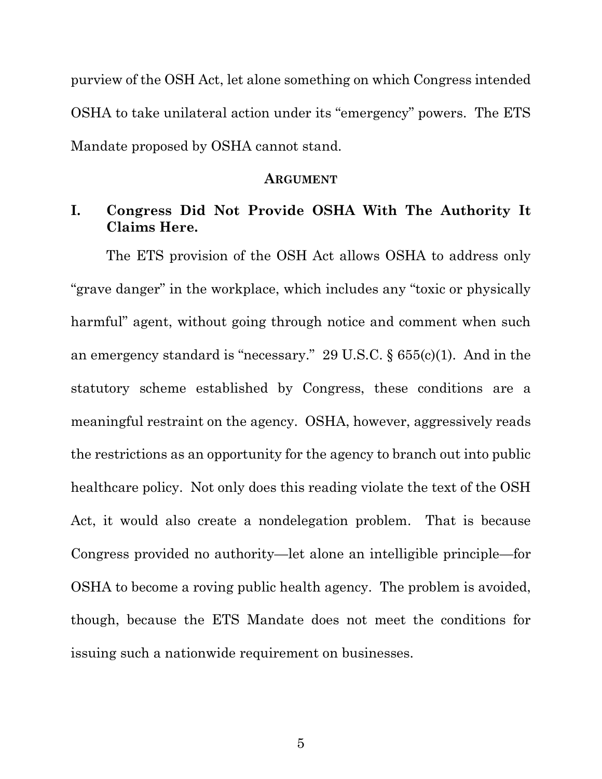purview of the OSH Act, let alone something on which Congress intended OSHA to take unilateral action under its "emergency" powers. The ETS Mandate proposed by OSHA cannot stand.

#### <span id="page-10-1"></span>**ARGUMENT**

### <span id="page-10-0"></span>**I. Congress Did Not Provide OSHA With The Authority It Claims Here.**

The ETS provision of the OSH Act allows OSHA to address only "grave danger" in the workplace, which includes any "toxic or physically harmful" agent, without going through notice and comment when such an emergency standard is "necessary." 29 U.S.C. § 655(c)(1). And in the statutory scheme established by Congress, these conditions are a meaningful restraint on the agency. OSHA, however, aggressively reads the restrictions as an opportunity for the agency to branch out into public healthcare policy. Not only does this reading violate the text of the OSH Act, it would also create a nondelegation problem. That is because Congress provided no authority—let alone an intelligible principle—for OSHA to become a roving public health agency. The problem is avoided, though, because the ETS Mandate does not meet the conditions for issuing such a nationwide requirement on businesses.

5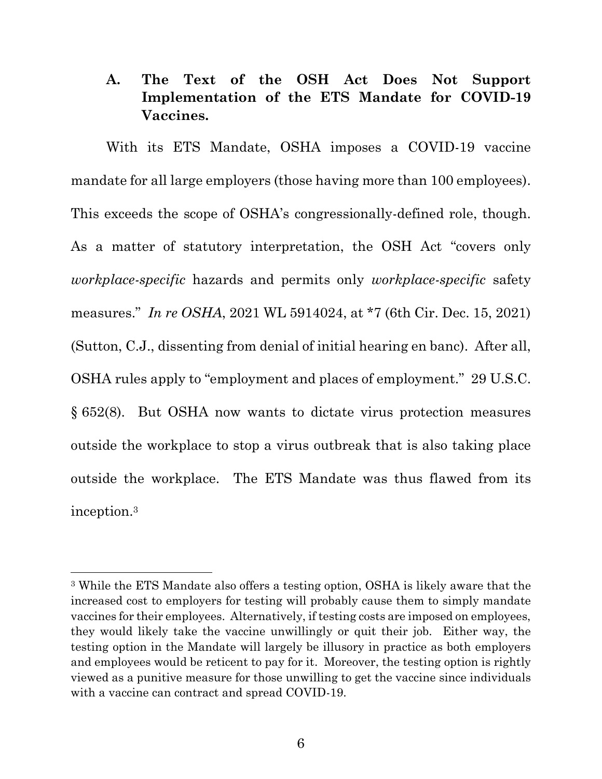<span id="page-11-0"></span>**A. The Text of the OSH Act Does Not Support Implementation of the ETS Mandate for COVID-19 Vaccines.**

With its ETS Mandate, OSHA imposes a COVID-19 vaccine mandate for all large employers (those having more than 100 employees). This exceeds the scope of OSHA's congressionally-defined role, though. As a matter of statutory interpretation, the OSH Act "covers only *workplace-specific* hazards and permits only *workplace-specific* safety measures." *In re OSHA*, 2021 WL 5914024, at \*7 (6th Cir. Dec. 15, 2021) (Sutton, C.J., dissenting from denial of initial hearing en banc). After all, OSHA rules apply to "employment and places of employment." 29 U.S.C. § 652(8). But OSHA now wants to dictate virus protection measures outside the workplace to stop a virus outbreak that is also taking place outside the workplace. The ETS Mandate was thus flawed from its inception. 3

<span id="page-11-1"></span><sup>3</sup> While the ETS Mandate also offers a testing option, OSHA is likely aware that the increased cost to employers for testing will probably cause them to simply mandate vaccines for their employees. Alternatively, if testing costs are imposed on employees, they would likely take the vaccine unwillingly or quit their job. Either way, the testing option in the Mandate will largely be illusory in practice as both employers and employees would be reticent to pay for it. Moreover, the testing option is rightly viewed as a punitive measure for those unwilling to get the vaccine since individuals with a vaccine can contract and spread COVID-19.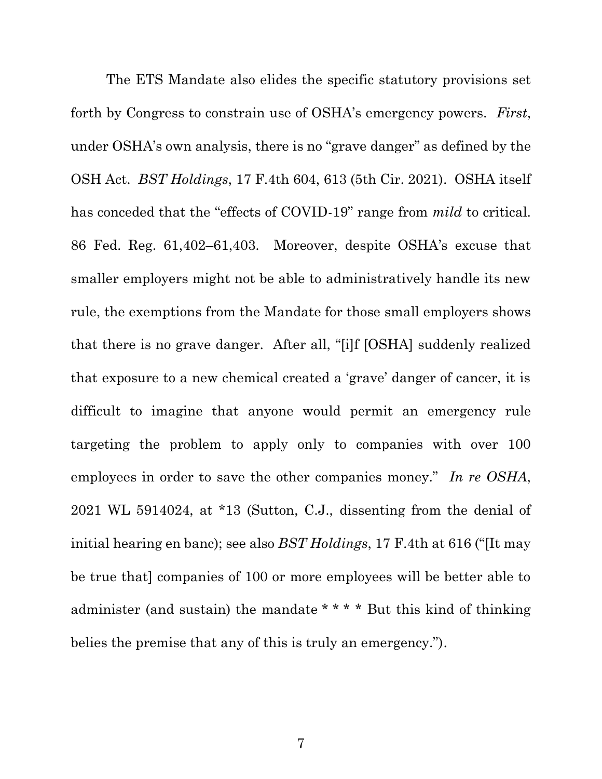<span id="page-12-0"></span>The ETS Mandate also elides the specific statutory provisions set forth by Congress to constrain use of OSHA's emergency powers. *First*, under OSHA's own analysis, there is no "grave danger" as defined by the OSH Act. *BST Holdings*, 17 F.4th 604, 613 (5th Cir. 2021). OSHA itself has conceded that the "effects of COVID-19" range from *mild* to critical. 86 Fed. Reg. 61,402–61,403. Moreover, despite OSHA's excuse that smaller employers might not be able to administratively handle its new rule, the exemptions from the Mandate for those small employers shows that there is no grave danger. After all, "[i]f [OSHA] suddenly realized that exposure to a new chemical created a 'grave' danger of cancer, it is difficult to imagine that anyone would permit an emergency rule targeting the problem to apply only to companies with over 100 employees in order to save the other companies money." *In re OSHA*, 2021 WL 5914024, at \*13 (Sutton, C.J., dissenting from the denial of initial hearing en banc); see also *BST Holdings*, 17 F.4th at 616 ("[It may be true that] companies of 100 or more employees will be better able to administer (and sustain) the mandate \* \* \* \* But this kind of thinking belies the premise that any of this is truly an emergency.").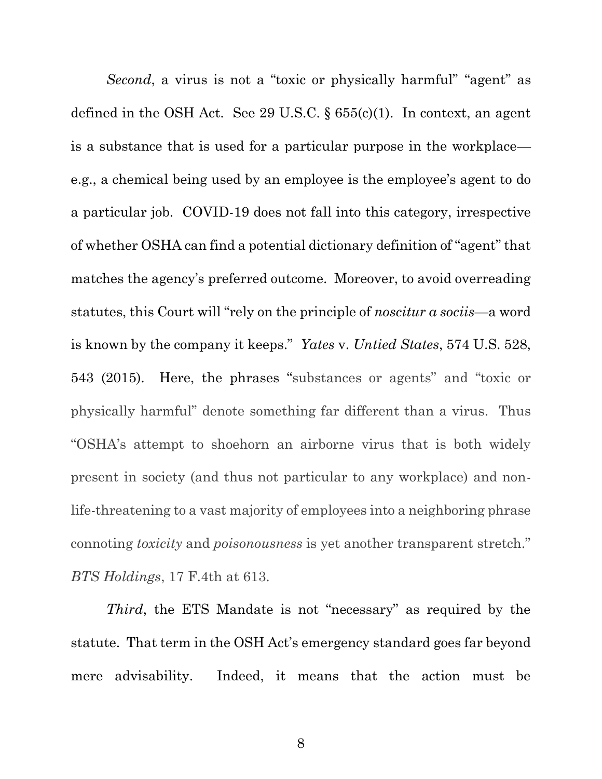<span id="page-13-1"></span><span id="page-13-0"></span>*Second*, a virus is not a "toxic or physically harmful" "agent" as defined in the OSH Act. See 29 U.S.C.  $\S 655(c)(1)$ . In context, an agent is a substance that is used for a particular purpose in the workplace e.g., a chemical being used by an employee is the employee's agent to do a particular job. COVID-19 does not fall into this category, irrespective of whether OSHA can find a potential dictionary definition of "agent" that matches the agency's preferred outcome. Moreover, to avoid overreading statutes, this Court will "rely on the principle of *noscitur a sociis*—a word is known by the company it keeps." *Yates* v. *Untied States*, 574 U.S. 528, 543 (2015). Here, the phrases "substances or agents" and "toxic or physically harmful" denote something far different than a virus. Thus "OSHA's attempt to shoehorn an airborne virus that is both widely present in society (and thus not particular to any workplace) and nonlife-threatening to a vast majority of employees into a neighboring phrase connoting *toxicity* and *poisonousness* is yet another transparent stretch." *BTS Holdings*, 17 F.4th at 613.

*Third*, the ETS Mandate is not "necessary" as required by the statute. That term in the OSH Act's emergency standard goes far beyond mere advisability. Indeed, it means that the action must be

8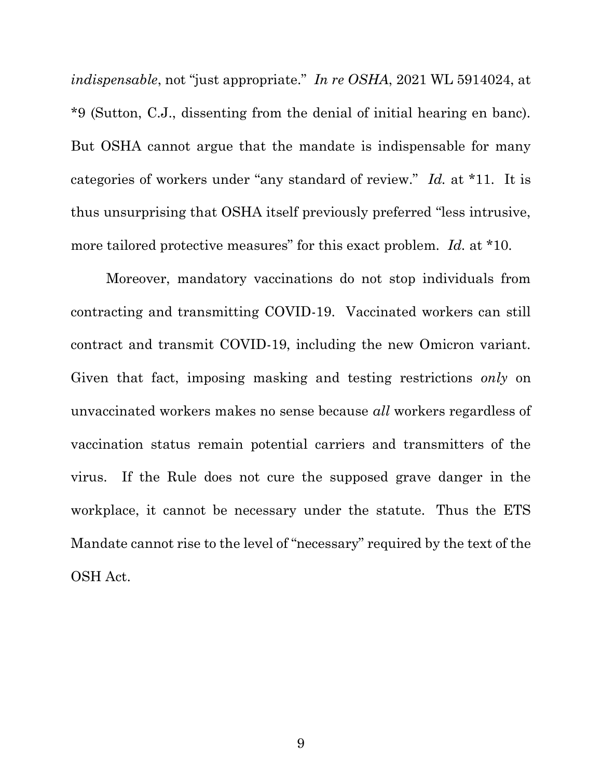*indispensable*, not "just appropriate." *In re OSHA*, 2021 WL 5914024, at \*9 (Sutton, C.J., dissenting from the denial of initial hearing en banc). But OSHA cannot argue that the mandate is indispensable for many categories of workers under "any standard of review." *Id.* at \*11. It is thus unsurprising that OSHA itself previously preferred "less intrusive, more tailored protective measures" for this exact problem. *Id.* at \*10.

Moreover, mandatory vaccinations do not stop individuals from contracting and transmitting COVID-19. Vaccinated workers can still contract and transmit COVID-19, including the new Omicron variant. Given that fact, imposing masking and testing restrictions *only* on unvaccinated workers makes no sense because *all* workers regardless of vaccination status remain potential carriers and transmitters of the virus. If the Rule does not cure the supposed grave danger in the workplace, it cannot be necessary under the statute. Thus the ETS Mandate cannot rise to the level of "necessary" required by the text of the OSH Act.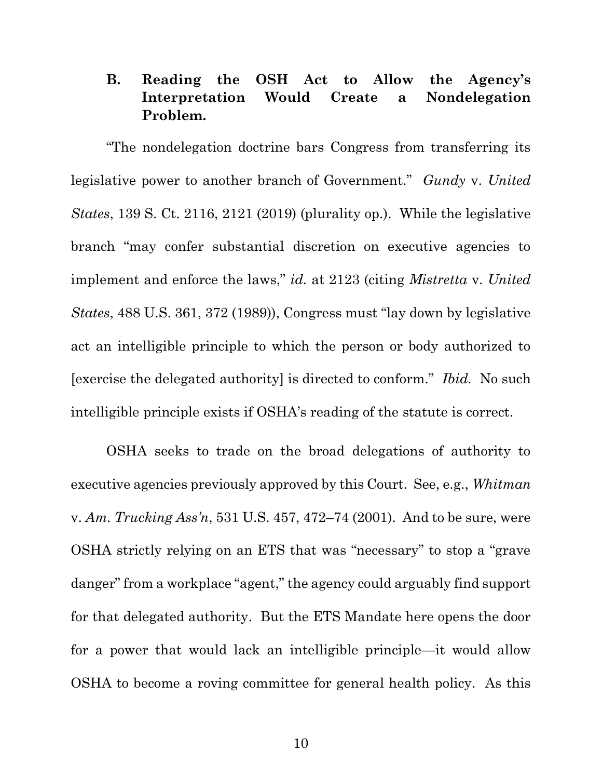## **B. Reading the OSH Act to Allow the Agency's Interpretation Would Create a Nondelegation Problem.**

"The nondelegation doctrine bars Congress from transferring its legislative power to another branch of Government." *Gundy* v. *United States*, 139 S. Ct. 2116, 2121 (2019) (plurality op.). While the legislative branch "may confer substantial discretion on executive agencies to implement and enforce the laws," *id.* at 2123 (citing *Mistretta* v. *United States*, 488 U.S. 361, 372 (1989)), Congress must "lay down by legislative act an intelligible principle to which the person or body authorized to [exercise the delegated authority] is directed to conform." *Ibid.* No such intelligible principle exists if OSHA's reading of the statute is correct.

<span id="page-15-1"></span><span id="page-15-0"></span>OSHA seeks to trade on the broad delegations of authority to executive agencies previously approved by this Court. See, e.g., *Whitman* v. *Am. Trucking Ass'n*, 531 U.S. 457, 472–74 (2001). And to be sure, were OSHA strictly relying on an ETS that was "necessary" to stop a "grave danger" from a workplace "agent," the agency could arguably find support for that delegated authority. But the ETS Mandate here opens the door for a power that would lack an intelligible principle—it would allow OSHA to become a roving committee for general health policy. As this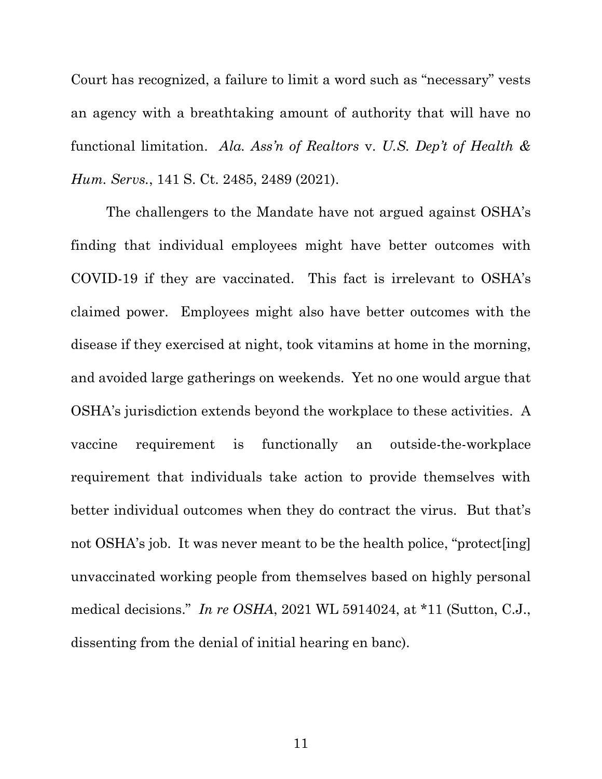<span id="page-16-0"></span>Court has recognized, a failure to limit a word such as "necessary" vests an agency with a breathtaking amount of authority that will have no functional limitation. *Ala. Ass'n of Realtors* v. *U.S. Dep't of Health & Hum. Servs.*, 141 S. Ct. 2485, 2489 (2021).

The challengers to the Mandate have not argued against OSHA's finding that individual employees might have better outcomes with COVID-19 if they are vaccinated. This fact is irrelevant to OSHA's claimed power. Employees might also have better outcomes with the disease if they exercised at night, took vitamins at home in the morning, and avoided large gatherings on weekends. Yet no one would argue that OSHA's jurisdiction extends beyond the workplace to these activities. A vaccine requirement is functionally an outside-the-workplace requirement that individuals take action to provide themselves with better individual outcomes when they do contract the virus. But that's not OSHA's job. It was never meant to be the health police, "protect [ing] unvaccinated working people from themselves based on highly personal medical decisions." *In re OSHA*, 2021 WL 5914024, at \*11 (Sutton, C.J., dissenting from the denial of initial hearing en banc).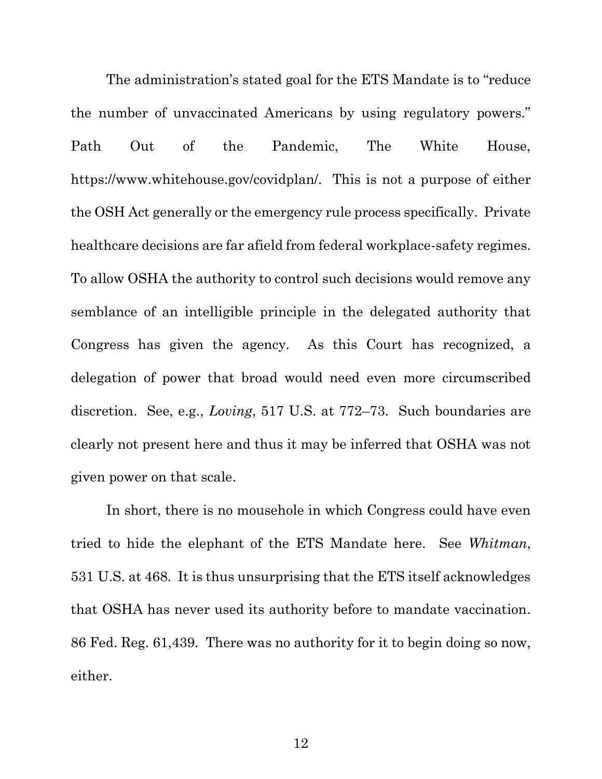<span id="page-17-3"></span>The administration's stated goal for the ETS Mandate is to "reduce the number of unvaccinated Americans by using regulatory powers." Path Out of the Pandemic, The White House, https://www.whitehouse.gov/covidplan/. This is not a purpose of either the OSH Act generally or the emergency rule process specifically. Private healthcare decisions are far afield from federal workplace-safety regimes. To allow OSHA the authority to control such decisions would remove any semblance of an intelligible principle in the delegated authority that Congress has given the agency. As this Court has recognized, a delegation of power that broad would need even more circumscribed discretion. See, e.g., *Loving*, 517 U.S. at 772–73. Such boundaries are clearly not present here and thus it may be inferred that OSHA was not given power on that scale.

<span id="page-17-2"></span><span id="page-17-1"></span><span id="page-17-0"></span>In short, there is no mousehole in which Congress could have even tried to hide the elephant of the ETS Mandate here. See *Whitman*, 531 U.S. at 468. It is thus unsurprising that the ETS itself acknowledges that OSHA has never used its authority before to mandate vaccination. 86 Fed. Reg. 61,439. There was no authority for it to begin doing so now, either.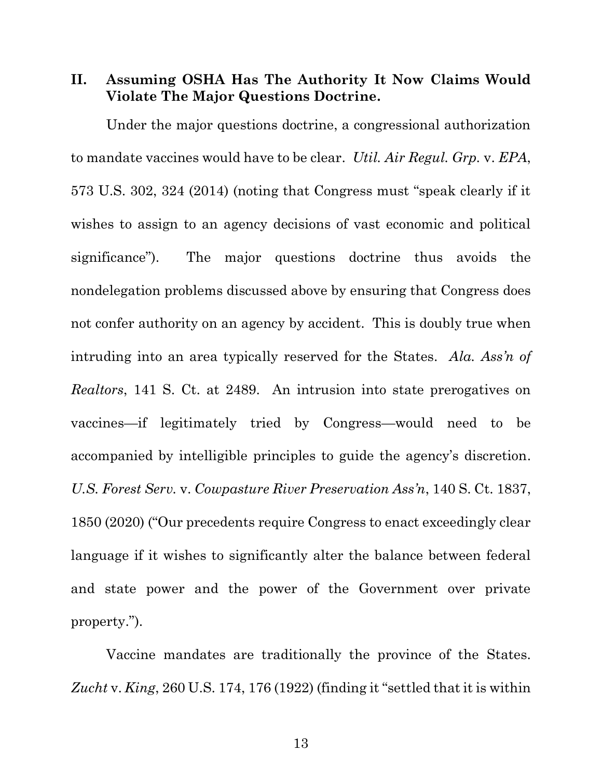**II. Assuming OSHA Has The Authority It Now Claims Would Violate The Major Questions Doctrine.**

Under the major questions doctrine, a congressional authorization to mandate vaccines would have to be clear. *Util. Air Regul. Grp.* v. *EPA*, 573 U.S. 302, 324 (2014) (noting that Congress must "speak clearly if it wishes to assign to an agency decisions of vast economic and political significance"). The major questions doctrine thus avoids the nondelegation problems discussed above by ensuring that Congress does not confer authority on an agency by accident. This is doubly true when intruding into an area typically reserved for the States. *Ala. Ass'n of Realtors*, 141 S. Ct. at 2489. An intrusion into state prerogatives on vaccines—if legitimately tried by Congress—would need to be accompanied by intelligible principles to guide the agency's discretion. *U.S. Forest Serv.* v. *Cowpasture River Preservation Ass'n*, 140 S. Ct. 1837, 1850 (2020) ("Our precedents require Congress to enact exceedingly clear language if it wishes to significantly alter the balance between federal and state power and the power of the Government over private property.").

<span id="page-18-2"></span><span id="page-18-1"></span>Vaccine mandates are traditionally the province of the States. *Zucht* v. *King*, 260 U.S. 174, 176 (1922) (finding it "settled that it is within

<span id="page-18-0"></span>13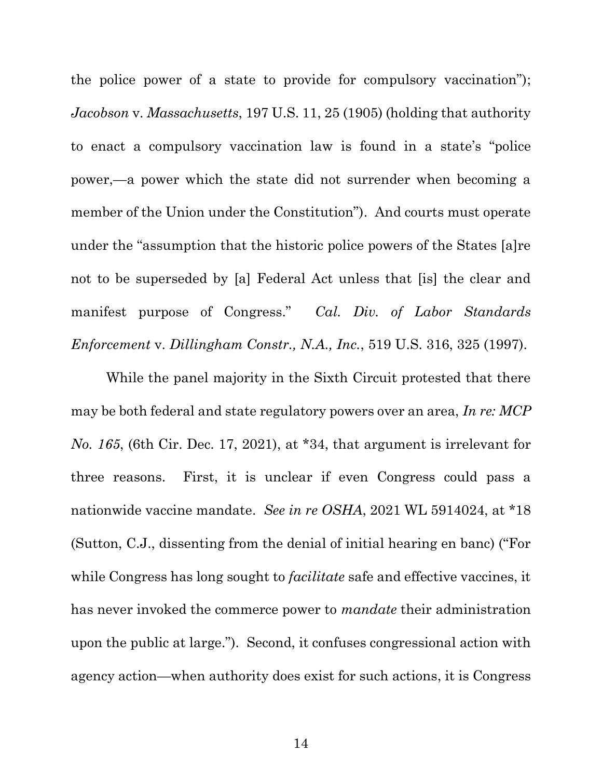<span id="page-19-1"></span>the police power of a state to provide for compulsory vaccination"); *Jacobson* v. *Massachusetts*, 197 U.S. 11, 25 (1905) (holding that authority to enact a compulsory vaccination law is found in a state's "police power,—a power which the state did not surrender when becoming a member of the Union under the Constitution"). And courts must operate under the "assumption that the historic police powers of the States [a]re not to be superseded by [a] Federal Act unless that [is] the clear and manifest purpose of Congress." *Cal. Div. of Labor Standards Enforcement* v. *Dillingham Constr., N.A., Inc.*, 519 U.S. 316, 325 (1997).

<span id="page-19-2"></span><span id="page-19-0"></span>While the panel majority in the Sixth Circuit protested that there may be both federal and state regulatory powers over an area, *In re: MCP No. 165*, (6th Cir. Dec. 17, 2021), at \*34, that argument is irrelevant for three reasons. First, it is unclear if even Congress could pass a nationwide vaccine mandate. *See in re OSHA*, 2021 WL 5914024, at \*18 (Sutton, C.J., dissenting from the denial of initial hearing en banc) ("For while Congress has long sought to *facilitate* safe and effective vaccines, it has never invoked the commerce power to *mandate* their administration upon the public at large."). Second, it confuses congressional action with agency action—when authority does exist for such actions, it is Congress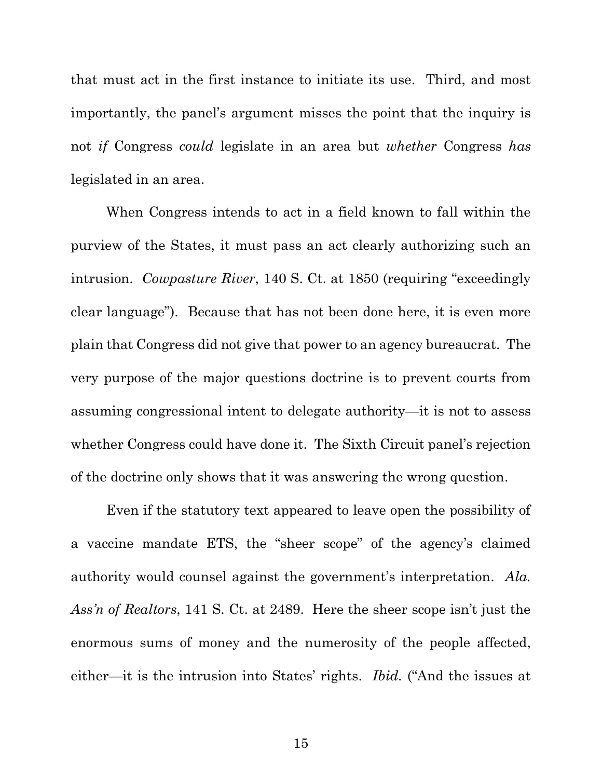that must act in the first instance to initiate its use. Third, and most importantly, the panel's argument misses the point that the inquiry is not *if* Congress *could* legislate in an area but *whether* Congress *has* legislated in an area.

<span id="page-20-1"></span>When Congress intends to act in a field known to fall within the purview of the States, it must pass an act clearly authorizing such an intrusion. *Cowpasture River*, 140 S. Ct. at 1850 (requiring "exceedingly clear language"). Because that has not been done here, it is even more plain that Congress did not give that power to an agency bureaucrat. The very purpose of the major questions doctrine is to prevent courts from assuming congressional intent to delegate authority—it is not to assess whether Congress could have done it. The Sixth Circuit panel's rejection of the doctrine only shows that it was answering the wrong question.

<span id="page-20-0"></span>Even if the statutory text appeared to leave open the possibility of a vaccine mandate ETS, the "sheer scope" of the agency's claimed authority would counsel against the government's interpretation. *Ala. Ass'n of Realtors*, 141 S. Ct. at 2489. Here the sheer scope isn't just the enormous sums of money and the numerosity of the people affected, either—it is the intrusion into States' rights. *Ibid.* ("And the issues at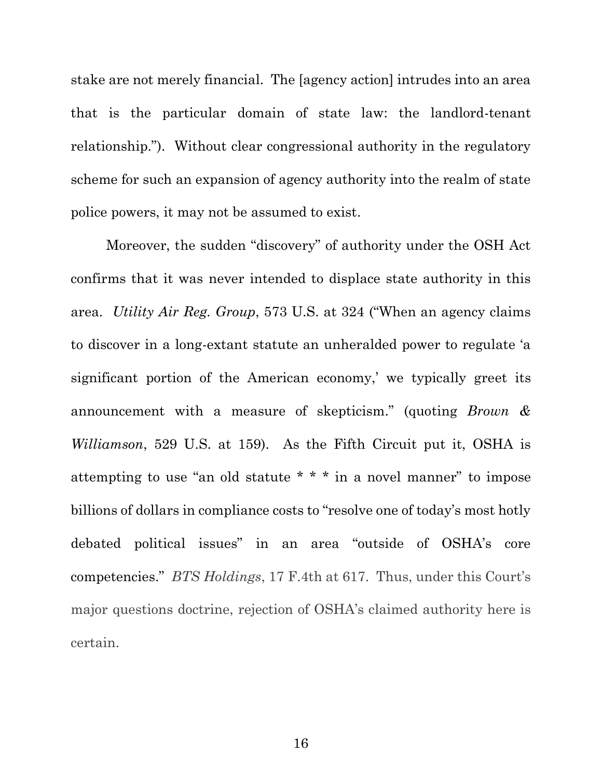stake are not merely financial. The [agency action] intrudes into an area that is the particular domain of state law: the landlord-tenant relationship."). Without clear congressional authority in the regulatory scheme for such an expansion of agency authority into the realm of state police powers, it may not be assumed to exist.

<span id="page-21-0"></span>Moreover, the sudden "discovery" of authority under the OSH Act confirms that it was never intended to displace state authority in this area. *Utility Air Reg. Group*, 573 U.S. at 324 ("When an agency claims to discover in a long-extant statute an unheralded power to regulate 'a significant portion of the American economy,' we typically greet its announcement with a measure of skepticism." (quoting *Brown & Williamson*, 529 U.S. at 159). As the Fifth Circuit put it, OSHA is attempting to use "an old statute \* \* \* in a novel manner" to impose billions of dollars in compliance costs to "resolve one of today's most hotly debated political issues" in an area "outside of OSHA's core competencies." *BTS Holdings*, 17 F.4th at 617. Thus, under this Court's major questions doctrine, rejection of OSHA's claimed authority here is certain.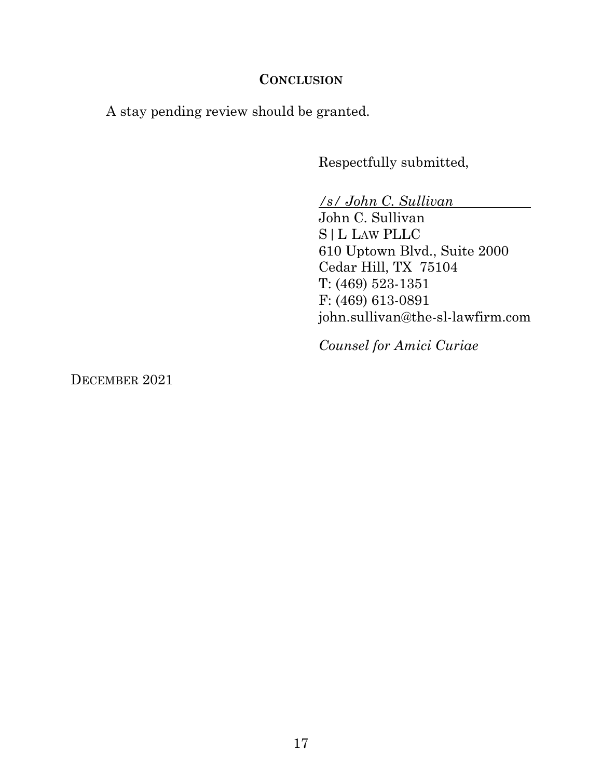### **CONCLUSION**

A stay pending review should be granted.

Respectfully submitted,

*/s/ John C. Sullivan*

John C. Sullivan S|L LAW PLLC 610 Uptown Blvd., Suite 2000 Cedar Hill, TX 75104 T: (469) 523-1351 F: (469) 613-0891 john.sullivan@the-sl-lawfirm.com

*Counsel for Amici Curiae*

DECEMBER 2021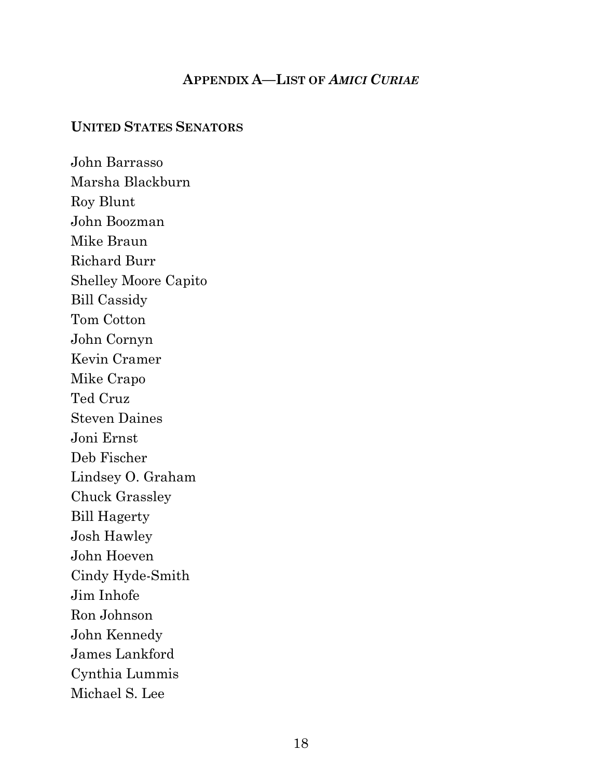## **APPENDIX A—LIST OF** *AMICI CURIAE*

#### <span id="page-23-0"></span>**UNITED STATES SENATORS**

John Barrasso Marsha Blackburn Roy Blunt John Boozman Mike Braun Richard Burr Shelley Moore Capito Bill Cassidy Tom Cotton John Cornyn Kevin Cramer Mike Crapo Ted Cruz Steven Daines Joni Ernst Deb Fischer Lindsey O. Graham Chuck Grassley Bill Hagerty Josh Hawley John Hoeven Cindy Hyde-Smith Jim Inhofe Ron Johnson John Kennedy James Lankford Cynthia Lummis Michael S. Lee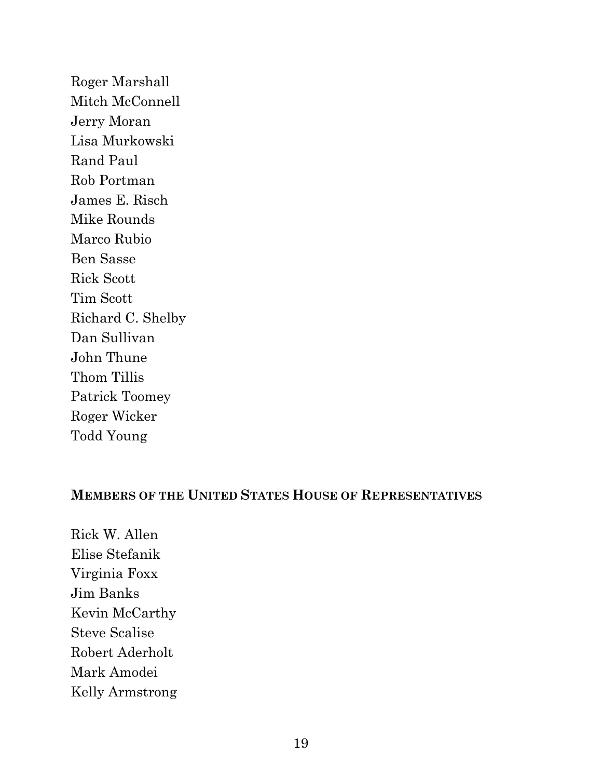Roger Marshall Mitch McConnell Jerry Moran Lisa Murkowski Rand Paul Rob Portman James E. Risch Mike Rounds Marco Rubio Ben Sasse Rick Scott Tim Scott Richard C. Shelby Dan Sullivan John Thune Thom Tillis Patrick Toomey Roger Wicker Todd Young

### **MEMBERS OF THE UNITED STATES HOUSE OF REPRESENTATIVES**

Rick W. Allen Elise Stefanik Virginia Foxx Jim Banks Kevin McCarthy Steve Scalise Robert Aderholt Mark Amodei Kelly Armstrong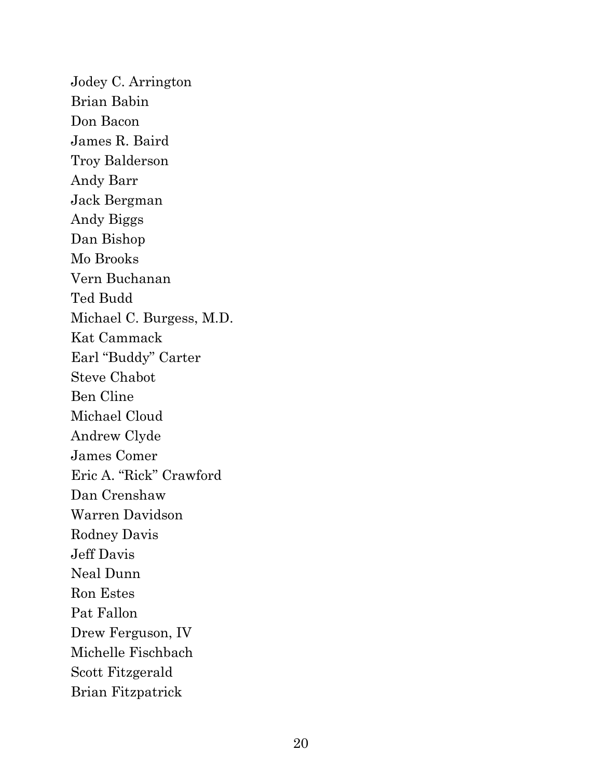Jodey C. Arrington Brian Babin Don Bacon James R. Baird Troy Balderson Andy Barr Jack Bergman Andy Biggs Dan Bishop Mo Brooks Vern Buchanan Ted Budd Michael C. Burgess, M.D. Kat Cammack Earl "Buddy" Carter Steve Chabot Ben Cline Michael Cloud Andrew Clyde James Comer Eric A. "Rick" Crawford Dan Crenshaw Warren Davidson Rodney Davis Jeff Davis Neal Dunn Ron Estes Pat Fallon Drew Ferguson, IV Michelle Fischbach Scott Fitzgerald Brian Fitzpatrick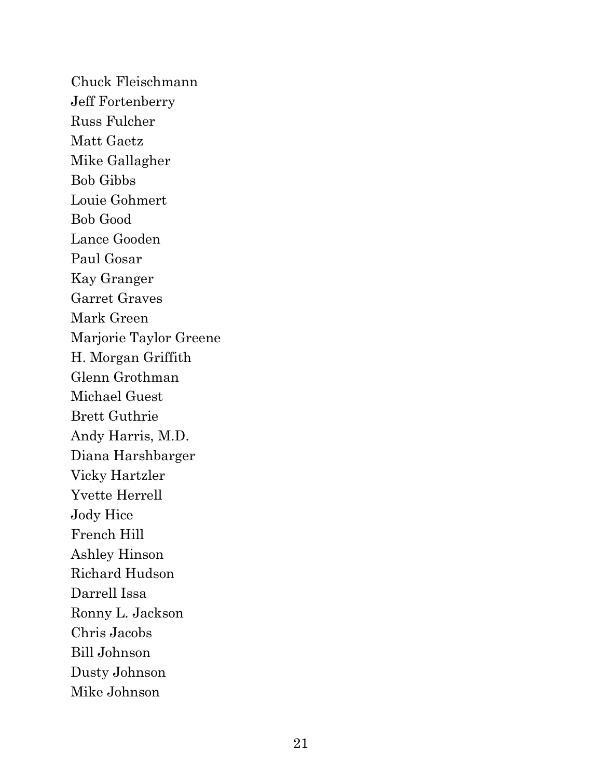Chuck Fleischmann Jeff Fortenberry Russ Fulcher Matt Gaetz Mike Gallagher Bob Gibbs Louie Gohmert Bob Good Lance Gooden Paul Gosar Kay Granger Garret Graves Mark Green Marjorie Taylor Greene H. Morgan Griffith Glenn Grothman Michael Guest Brett Guthrie Andy Harris, M.D. Diana Harshbarger Vicky Hartzler Yvette Herrell Jody Hice French Hill Ashley Hinson Richard Hudson Darrell Issa Ronny L. Jackson Chris Jacobs Bill Johnson Dusty Johnson Mike Johnson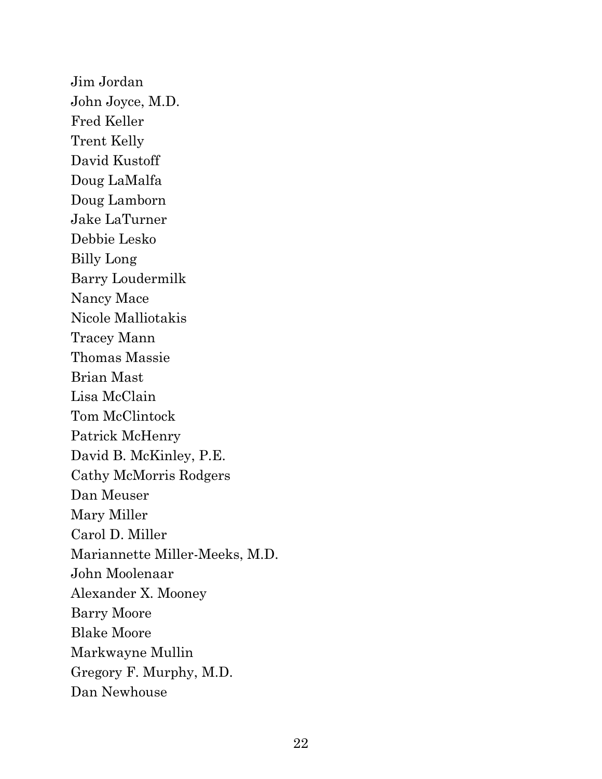Jim Jordan John Joyce, M.D. Fred Keller Trent Kelly David Kustoff Doug LaMalfa Doug Lamborn Jake LaTurner Debbie Lesko Billy Long Barry Loudermilk Nancy Mace Nicole Malliotakis Tracey Mann Thomas Massie Brian Mast Lisa McClain Tom McClintock Patrick McHenry David B. McKinley, P.E. Cathy McMorris Rodgers Dan Meuser Mary Miller Carol D. Miller Mariannette Miller-Meeks, M.D. John Moolenaar Alexander X. Mooney Barry Moore Blake Moore Markwayne Mullin Gregory F. Murphy, M.D. Dan Newhouse